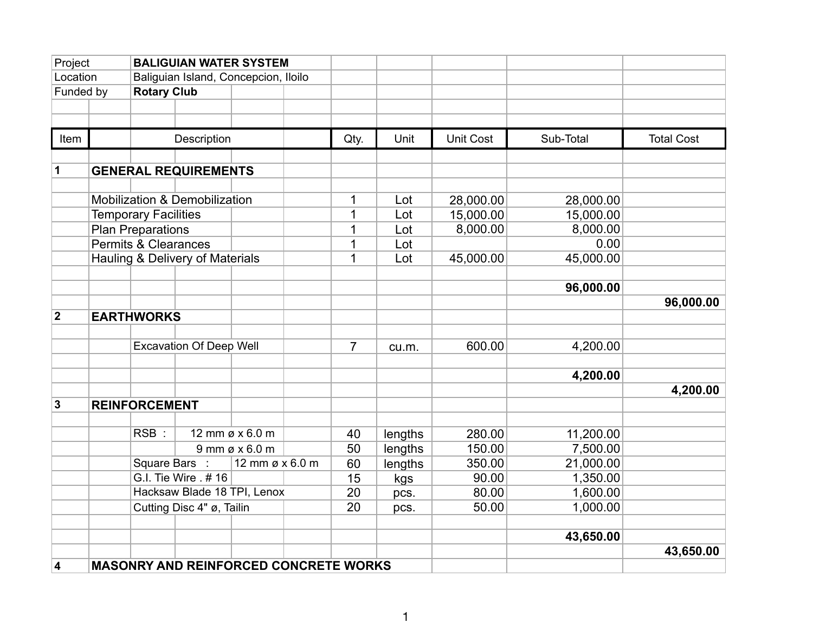| Project        |                                              | <b>BALIGUIAN WATER SYSTEM</b>   |                                      |                  |    |                |         |                  |           |                   |
|----------------|----------------------------------------------|---------------------------------|--------------------------------------|------------------|----|----------------|---------|------------------|-----------|-------------------|
| Location       |                                              |                                 | Baliguian Island, Concepcion, Iloilo |                  |    |                |         |                  |           |                   |
| Funded by      |                                              | <b>Rotary Club</b>              |                                      |                  |    |                |         |                  |           |                   |
|                |                                              |                                 |                                      |                  |    |                |         |                  |           |                   |
|                |                                              |                                 |                                      |                  |    |                |         |                  |           |                   |
| Item           |                                              |                                 | Description                          |                  |    | Qty.           | Unit    | <b>Unit Cost</b> | Sub-Total | <b>Total Cost</b> |
|                |                                              |                                 |                                      |                  |    |                |         |                  |           |                   |
| 1              |                                              |                                 | <b>GENERAL REQUIREMENTS</b>          |                  |    |                |         |                  |           |                   |
|                |                                              |                                 |                                      |                  |    |                |         |                  |           |                   |
|                |                                              |                                 | Mobilization & Demobilization        |                  |    | 1              | Lot     | 28,000.00        | 28,000.00 |                   |
|                |                                              | <b>Temporary Facilities</b>     |                                      |                  |    | 1              | Lot     | 15,000.00        | 15,000.00 |                   |
|                |                                              | <b>Plan Preparations</b>        |                                      |                  |    |                | Lot     | 8,000.00         | 8,000.00  |                   |
|                |                                              | <b>Permits &amp; Clearances</b> |                                      |                  |    | 1              | Lot     |                  | 0.00      |                   |
|                |                                              |                                 | Hauling & Delivery of Materials      |                  |    | 1              | Lot     | 45,000.00        | 45,000.00 |                   |
|                |                                              |                                 |                                      |                  |    |                |         |                  |           |                   |
|                |                                              |                                 |                                      |                  |    |                |         |                  | 96,000.00 |                   |
|                |                                              |                                 |                                      |                  |    |                |         |                  |           | 96,000.00         |
| $\overline{2}$ |                                              | <b>EARTHWORKS</b>               |                                      |                  |    |                |         |                  |           |                   |
|                |                                              |                                 |                                      |                  |    |                |         |                  |           |                   |
|                |                                              |                                 | <b>Excavation Of Deep Well</b>       |                  |    | $\overline{7}$ | cu.m.   | 600.00           | 4,200.00  |                   |
|                |                                              |                                 |                                      |                  |    |                |         |                  |           |                   |
|                |                                              |                                 |                                      |                  |    |                |         |                  | 4,200.00  |                   |
|                |                                              |                                 |                                      |                  |    |                |         |                  |           | 4,200.00          |
| 3              |                                              | <b>REINFORCEMENT</b>            |                                      |                  |    |                |         |                  |           |                   |
|                |                                              | RSB:                            |                                      | 12 mm ø x 6.0 m  |    | 40             | lengths | 280.00           | 11,200.00 |                   |
|                |                                              |                                 |                                      | $9$ mm ø x 6.0 m |    | 50             | lengths | 150.00           | 7,500.00  |                   |
|                |                                              | Square Bars :                   |                                      | 12 mm ø x 6.0 m  |    | 60             | lengths | 350.00           | 21,000.00 |                   |
|                |                                              |                                 | G.I. Tie Wire . # 16                 |                  |    | 15             | kgs     | 90.00            | 1,350.00  |                   |
|                |                                              |                                 | Hacksaw Blade 18 TPI, Lenox          |                  |    | 20             | pcs.    | 80.00            | 1,600.00  |                   |
|                |                                              | Cutting Disc 4" ø, Tailin       |                                      |                  | 20 | pcs.           | 50.00   | 1,000.00         |           |                   |
|                |                                              |                                 |                                      |                  |    |                |         |                  |           |                   |
|                |                                              |                                 |                                      |                  |    |                |         |                  | 43,650.00 |                   |
|                |                                              |                                 |                                      |                  |    |                |         |                  |           | 43,650.00         |
| 4              | <b>MASONRY AND REINFORCED CONCRETE WORKS</b> |                                 |                                      |                  |    |                |         |                  |           |                   |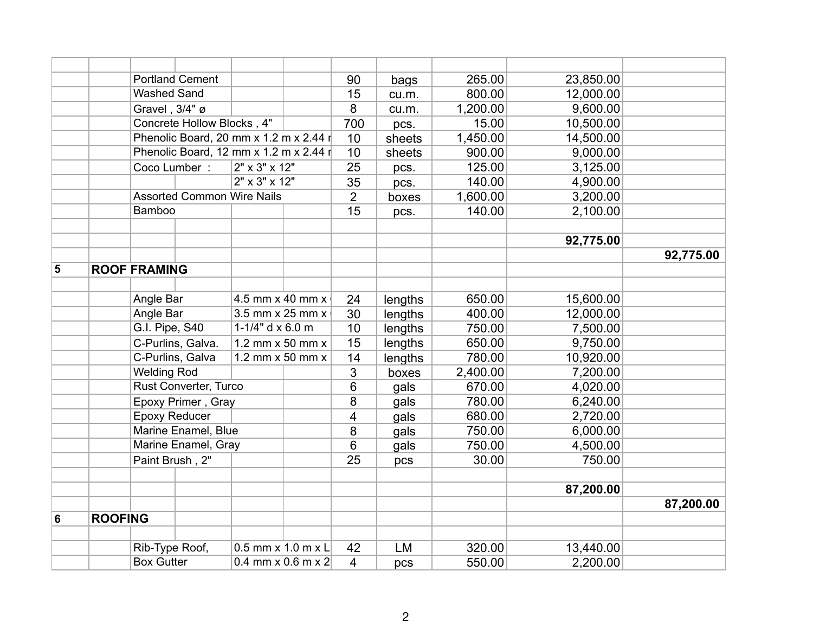|   |                |                                                                | <b>Portland Cement</b>                 |                                        |  | 90              | bags      | 265.00   | 23,850.00 |           |
|---|----------------|----------------------------------------------------------------|----------------------------------------|----------------------------------------|--|-----------------|-----------|----------|-----------|-----------|
|   |                | <b>Washed Sand</b>                                             |                                        |                                        |  | 15              | cu.m.     | 800.00   | 12,000.00 |           |
|   |                | Gravel, 3/4" ø                                                 |                                        |                                        |  | 8               | cu.m.     | 1,200.00 | 9,600.00  |           |
|   |                | Concrete Hollow Blocks, 4"                                     |                                        |                                        |  | 700             | pcs.      | 15.00    | 10,500.00 |           |
|   |                |                                                                | Phenolic Board, 20 mm x 1.2 m x 2.44 r |                                        |  | 10              | sheets    | 1,450.00 | 14,500.00 |           |
|   |                |                                                                |                                        | Phenolic Board, 12 mm x 1.2 m x 2.44 r |  | 10              | sheets    | 900.00   | 9,000.00  |           |
|   |                | Coco Lumber:                                                   |                                        | 2" x 3" x 12"                          |  | $\overline{25}$ | pcs.      | 125.00   | 3,125.00  |           |
|   |                |                                                                |                                        | 2" x 3" x 12"                          |  | 35              | pcs.      | 140.00   | 4,900.00  |           |
|   |                |                                                                | <b>Assorted Common Wire Nails</b>      |                                        |  | $\overline{2}$  | boxes     | 1,600.00 | 3,200.00  |           |
|   |                | Bamboo                                                         |                                        |                                        |  | 15              | pcs.      | 140.00   | 2,100.00  |           |
|   |                |                                                                |                                        |                                        |  |                 |           |          |           |           |
|   |                |                                                                |                                        |                                        |  |                 |           |          | 92,775.00 |           |
|   |                |                                                                |                                        |                                        |  |                 |           |          |           | 92,775.00 |
| 5 |                | <b>ROOF FRAMING</b>                                            |                                        |                                        |  |                 |           |          |           |           |
|   |                |                                                                |                                        |                                        |  |                 |           |          |           |           |
|   |                | Angle Bar                                                      |                                        | 4.5 mm x 40 mm x                       |  | 24              | lengths   | 650.00   | 15,600.00 |           |
|   |                | Angle Bar                                                      |                                        | 3.5 mm x 25 mm x                       |  | 30              | lengths   | 400.00   | 12,000.00 |           |
|   |                | G.I. Pipe, S40<br>1-1/4" $d \times 6.0$ m<br>C-Purlins, Galva. |                                        |                                        |  | 10              | lengths   | 750.00   | 7,500.00  |           |
|   |                |                                                                |                                        | 1.2 mm x 50 mm x                       |  | 15              | lengths   | 650.00   | 9,750.00  |           |
|   |                |                                                                | C-Purlins, Galva                       | 1.2 mm $\times$ 50 mm $\times$         |  | 14              | lengths   | 780.00   | 10,920.00 |           |
|   |                | <b>Welding Rod</b>                                             |                                        |                                        |  | 3               | boxes     | 2,400.00 | 7,200.00  |           |
|   |                |                                                                | Rust Converter, Turco                  |                                        |  | $6\phantom{1}$  | gals      | 670.00   | 4,020.00  |           |
|   |                |                                                                | Epoxy Primer, Gray                     |                                        |  | 8               | gals      | 780.00   | 6,240.00  |           |
|   |                | <b>Epoxy Reducer</b>                                           |                                        |                                        |  | $\overline{4}$  | gals      | 680.00   | 2,720.00  |           |
|   |                |                                                                | Marine Enamel, Blue                    |                                        |  | 8               | gals      | 750.00   | 6,000.00  |           |
|   |                |                                                                | Marine Enamel, Gray                    |                                        |  | 6               | gals      | 750.00   | 4,500.00  |           |
|   |                | Paint Brush, 2"                                                |                                        |                                        |  | 25              | pcs       | 30.00    | 750.00    |           |
|   |                |                                                                |                                        |                                        |  |                 |           |          |           |           |
|   |                |                                                                |                                        |                                        |  |                 |           |          | 87,200.00 |           |
|   |                |                                                                |                                        |                                        |  |                 |           |          |           | 87,200.00 |
| 6 | <b>ROOFING</b> |                                                                |                                        |                                        |  |                 |           |          |           |           |
|   |                |                                                                |                                        |                                        |  |                 |           |          |           |           |
|   |                | Rib-Type Roof,                                                 |                                        | $0.5$ mm x $1.0$ m x L                 |  | 42              | <b>LM</b> | 320.00   | 13,440.00 |           |
|   |                | <b>Box Gutter</b>                                              |                                        | 0.4 mm $\times$ 0.6 m $\times$ 2       |  | $\overline{4}$  | pcs       | 550.00   | 2,200.00  |           |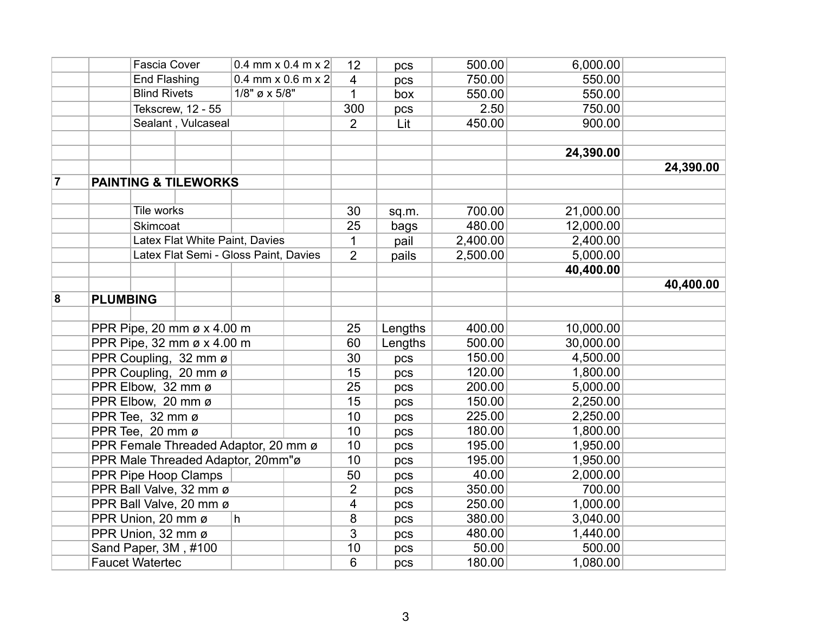|                |                                      | <b>Fascia Cover</b>             |                                       | 0.4 mm x 0.4 m x 2     |                | pcs     | 500.00   | 6,000.00  |           |
|----------------|--------------------------------------|---------------------------------|---------------------------------------|------------------------|----------------|---------|----------|-----------|-----------|
|                |                                      | End Flashing                    |                                       | 0.4 mm $x$ 0.6 m $x$ 2 |                | pcs     | 750.00   | 550.00    |           |
|                |                                      | <b>Blind Rivets</b>             |                                       | $1/8$ " ø x 5/8"       |                | box     | 550.00   | 550.00    |           |
|                |                                      | Tekscrew, 12 - 55               |                                       |                        | 300            | pcs     | 2.50     | 750.00    |           |
|                |                                      | Sealant, Vulcaseal              |                                       |                        | $\overline{2}$ | Lit     | 450.00   | 900.00    |           |
|                |                                      |                                 |                                       |                        |                |         |          |           |           |
|                |                                      |                                 |                                       |                        |                |         |          | 24,390.00 |           |
|                |                                      |                                 |                                       |                        |                |         |          |           | 24,390.00 |
| $\overline{7}$ |                                      | <b>PAINTING &amp; TILEWORKS</b> |                                       |                        |                |         |          |           |           |
|                |                                      |                                 |                                       |                        |                |         |          |           |           |
|                |                                      | Tile works                      |                                       |                        | 30             | sq.m.   | 700.00   | 21,000.00 |           |
|                |                                      | Skimcoat                        |                                       |                        | 25             | bags    | 480.00   | 12,000.00 |           |
|                |                                      |                                 | Latex Flat White Paint, Davies        |                        | 1              | pail    | 2,400.00 | 2,400.00  |           |
|                |                                      |                                 | Latex Flat Semi - Gloss Paint, Davies |                        | $\overline{2}$ | pails   | 2,500.00 | 5,000.00  |           |
|                |                                      |                                 |                                       |                        |                |         |          | 40,400.00 |           |
|                |                                      |                                 |                                       |                        |                |         |          |           | 40,400.00 |
| 8              | <b>PLUMBING</b>                      |                                 |                                       |                        |                |         |          |           |           |
|                |                                      |                                 |                                       |                        |                |         |          |           |           |
|                |                                      | PPR Pipe, 20 mm ø x 4.00 m      |                                       |                        | 25             | Lengths | 400.00   | 10,000.00 |           |
|                |                                      | PPR Pipe, 32 mm ø x 4.00 m      |                                       |                        | 60             | Lengths | 500.00   | 30,000.00 |           |
|                |                                      | PPR Coupling, 32 mm ø           |                                       |                        | 30             | pcs     | 150.00   | 4,500.00  |           |
|                |                                      | PPR Coupling, 20 mm ø           |                                       |                        | 15             | pcs     | 120.00   | 1,800.00  |           |
|                | PPR Elbow, 32 mm ø                   |                                 |                                       |                        | 25             | pcs     | 200.00   | 5,000.00  |           |
|                | PPR Elbow, 20 mm ø                   |                                 |                                       |                        | 15             | pcs     | 150.00   | 2,250.00  |           |
|                | PPR Tee, 32 mm ø                     |                                 |                                       |                        | 10             | pcs     | 225.00   | 2,250.00  |           |
|                | PPR Tee, 20 mm ø                     |                                 |                                       |                        | 10             | pcs     | 180.00   | 1,800.00  |           |
|                | PPR Female Threaded Adaptor, 20 mm ø |                                 |                                       |                        | 10             | pcs     | 195.00   | 1,950.00  |           |
|                | PPR Male Threaded Adaptor, 20mm"ø    |                                 |                                       |                        | 10             | pcs     | 195.00   | 1,950.00  |           |
|                | PPR Pipe Hoop Clamps                 |                                 |                                       | 50                     | pcs            | 40.00   | 2,000.00 |           |           |
|                | PPR Ball Valve, 32 mm ø              |                                 |                                       | $\overline{2}$         | pcs            | 350.00  | 700.00   |           |           |
|                |                                      | PPR Ball Valve, 20 mm ø         |                                       |                        | $\overline{4}$ | pcs     | 250.00   | 1,000.00  |           |
|                |                                      | PPR Union, 20 mm ø<br>h         |                                       |                        | 8              | pcs     | 380.00   | 3,040.00  |           |
|                |                                      | PPR Union, 32 mm ø              |                                       |                        | 3              | pcs     | 480.00   | 1,440.00  |           |
|                |                                      | Sand Paper, 3M, #100            |                                       |                        | 10             | pcs     | 50.00    | 500.00    |           |
|                | <b>Faucet Watertec</b>               |                                 |                                       |                        | 6              | pcs     | 180.00   | 1,080.00  |           |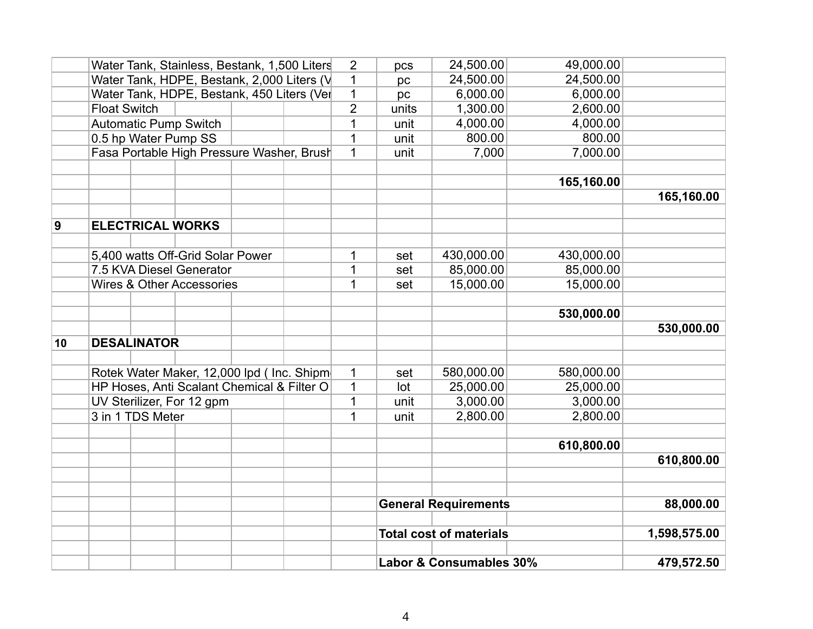|          |                                            |                          | Water Tank, Stainless, Bestank, 1,500 Liters |  |  | 2            | pcs                         | 24,500.00                      | 49,000.00  |              |
|----------|--------------------------------------------|--------------------------|----------------------------------------------|--|--|--------------|-----------------------------|--------------------------------|------------|--------------|
|          |                                            |                          | Water Tank, HDPE, Bestank, 2,000 Liters (V   |  |  | 1            | pc                          | 24,500.00                      | 24,500.00  |              |
|          | Water Tank, HDPE, Bestank, 450 Liters (Ver |                          |                                              |  |  |              | pc                          | 6,000.00                       | 6,000.00   |              |
|          | <b>Float Switch</b>                        |                          |                                              |  |  |              | units                       | 1,300.00                       | 2,600.00   |              |
|          |                                            |                          | <b>Automatic Pump Switch</b>                 |  |  | 1            | unit                        | 4,000.00                       | 4,000.00   |              |
|          |                                            |                          | 0.5 hp Water Pump SS                         |  |  | 1            | unit                        | 800.00                         | 800.00     |              |
|          |                                            |                          | Fasa Portable High Pressure Washer, Brush    |  |  | $\mathbf{1}$ | unit                        | 7,000                          | 7,000.00   |              |
|          |                                            |                          |                                              |  |  |              |                             |                                |            |              |
|          |                                            |                          |                                              |  |  |              |                             |                                | 165,160.00 |              |
|          |                                            |                          |                                              |  |  |              |                             |                                |            | 165,160.00   |
|          |                                            |                          |                                              |  |  |              |                             |                                |            |              |
| <u>g</u> |                                            |                          | <b>ELECTRICAL WORKS</b>                      |  |  |              |                             |                                |            |              |
|          |                                            |                          |                                              |  |  |              |                             |                                |            |              |
|          |                                            |                          | 5,400 watts Off-Grid Solar Power             |  |  | 1<br>1       | set                         | 430,000.00                     | 430,000.00 |              |
|          |                                            | 7.5 KVA Diesel Generator |                                              |  |  |              | set                         | 85,000.00                      | 85,000.00  |              |
|          |                                            |                          | <b>Wires &amp; Other Accessories</b>         |  |  | 1            | set                         | 15,000.00                      | 15,000.00  |              |
|          |                                            |                          |                                              |  |  |              |                             |                                |            |              |
|          |                                            |                          |                                              |  |  |              |                             |                                | 530,000.00 |              |
|          |                                            |                          |                                              |  |  |              |                             |                                |            | 530,000.00   |
| 10       |                                            | <b>DESALINATOR</b>       |                                              |  |  |              |                             |                                |            |              |
|          |                                            |                          |                                              |  |  |              |                             |                                |            |              |
|          |                                            |                          | Rotek Water Maker, 12,000 lpd ( Inc. Shipm   |  |  | $\mathbf 1$  | set                         | 580,000.00                     | 580,000.00 |              |
|          |                                            |                          | HP Hoses, Anti Scalant Chemical & Filter O   |  |  | 1            | lot                         | 25,000.00                      | 25,000.00  |              |
|          |                                            |                          | UV Sterilizer, For 12 gpm                    |  |  | $\mathbf{1}$ | unit                        | 3,000.00                       | 3,000.00   |              |
|          |                                            | 3 in 1 TDS Meter         |                                              |  |  | 1            | unit                        | 2,800.00                       | 2,800.00   |              |
|          |                                            |                          |                                              |  |  |              |                             |                                |            |              |
|          |                                            |                          |                                              |  |  |              |                             |                                | 610,800.00 |              |
|          |                                            |                          |                                              |  |  |              |                             |                                |            | 610,800.00   |
|          |                                            |                          |                                              |  |  |              |                             |                                |            |              |
|          |                                            |                          |                                              |  |  |              |                             |                                |            |              |
|          |                                            |                          |                                              |  |  |              | <b>General Requirements</b> |                                | 88,000.00  |              |
|          |                                            |                          |                                              |  |  |              |                             |                                |            |              |
|          |                                            |                          |                                              |  |  |              |                             | <b>Total cost of materials</b> |            | 1,598,575.00 |
|          |                                            |                          |                                              |  |  |              | Labor & Consumables 30%     |                                | 479,572.50 |              |
|          |                                            |                          |                                              |  |  |              |                             |                                |            |              |